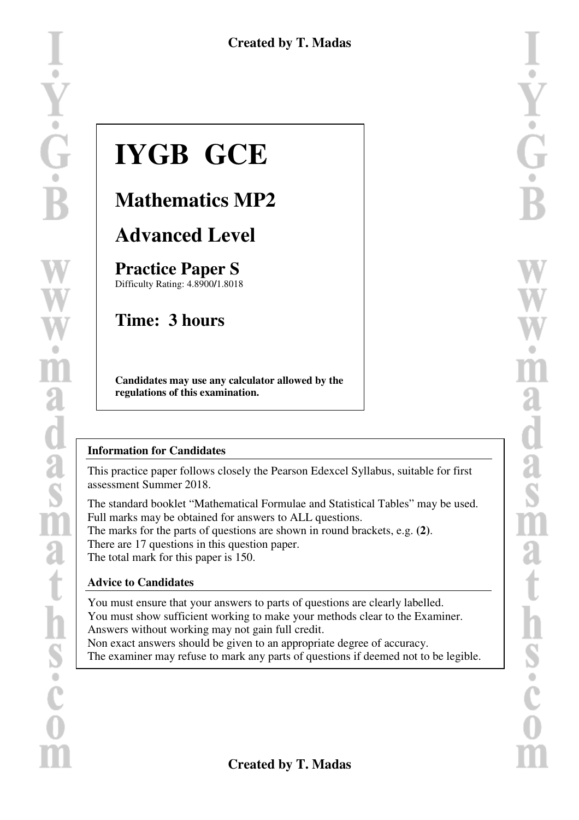# **IYGB GCE**

# **Mathematics MP2**

# **Advanced Level**

**Practice Paper S**  Difficulty Rating: 4.8900**/**1.8018

# **Time: 3 hours**

**Candidates may use any calculator allowed by the regulations of this examination.** 

#### **Information for Candidates**

This practice paper follows closely the Pearson Edexcel Syllabus, suitable for first assessment Summer 2018.

The standard booklet "Mathematical Formulae and Statistical Tables" may be used. Full marks may be obtained for answers to ALL questions. The marks for the parts of questions are shown in round brackets, e.g. **(2)**. There are 17 questions in this question paper. The total mark for this paper is 150.

#### **Advice to Candidates**

You must ensure that your answers to parts of questions are clearly labelled. You must show sufficient working to make your methods clear to the Examiner. Answers without working may not gain full credit.

Non exact answers should be given to an appropriate degree of accuracy. The examiner may refuse to mark any parts of questions if deemed not to be legible.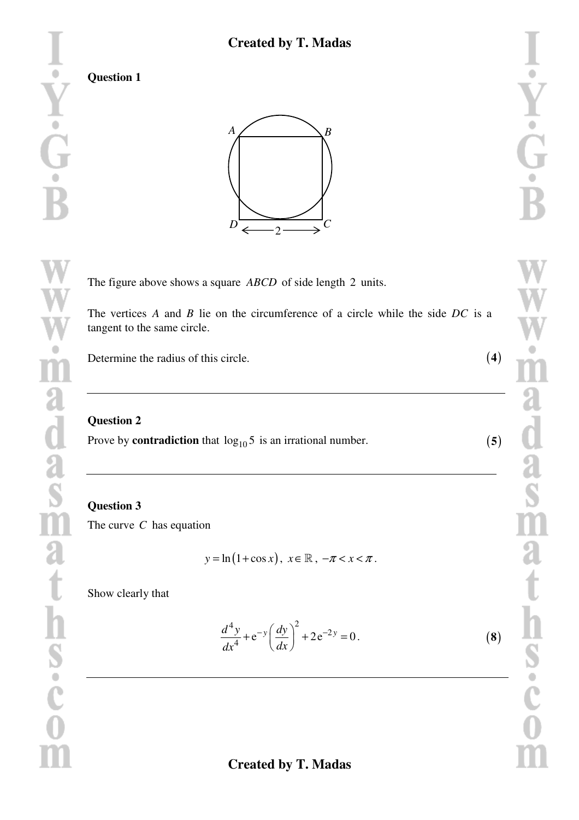**Question 1** 



The figure above shows a square *ABCD* of side length 2 units.

The vertices *A* and *B* lie on the circumference of a circle while the side *DC* is a tangent to the same circle.

Determine the radius of this circle.

#### **Question 2**

Prove by **contradiction** that  $log_{10} 5$  is an irrational number.

**Question 3** The curve *C* has equation

$$
y = \ln(1 + \cos x), \quad x \in \mathbb{R}, \quad -\pi < x < \pi.
$$

Show clearly that

$$
\frac{d^4y}{dx^4} + e^{-y} \left(\frac{dy}{dx}\right)^2 + 2e^{-2y} = 0.
$$
 (8)

(**5**)

(**4**)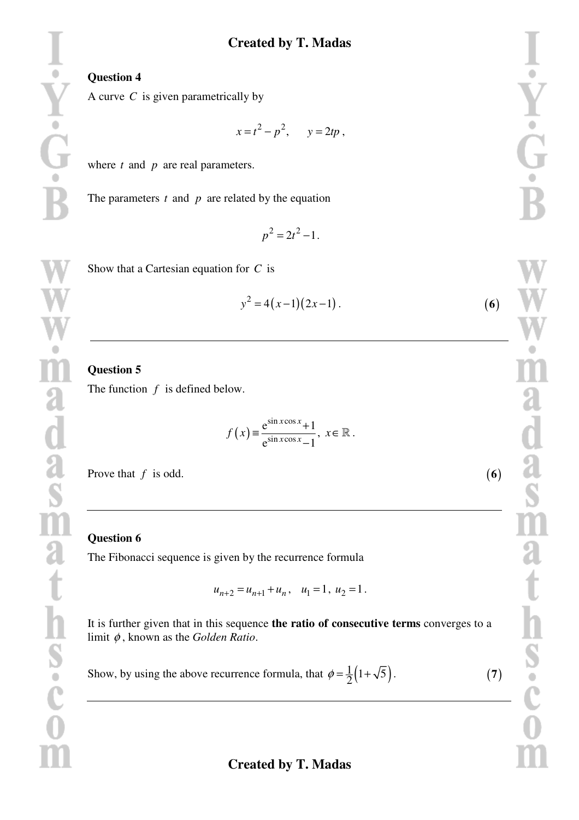### **Created by T. Madas**

#### **Question 4**

A curve *C* is given parametrically by

$$
x = t^2 - p^2, \qquad y = 2tp,
$$

where *t* and *p* are real parameters.

The parameters  $t$  and  $p$  are related by the equation

$$
p^2 = 2t^2 - 1.
$$

|  |  | Show that a Cartesian equation for $C$ is |  |  |  |  |
|--|--|-------------------------------------------|--|--|--|--|
|--|--|-------------------------------------------|--|--|--|--|

$$
y^2 = 4(x-1)(2x-1).
$$
 (6)

#### **Question 5**

The function *f* is defined below.

$$
f(x) \equiv \frac{e^{\sin x \cos x} + 1}{e^{\sin x \cos x} - 1}, \quad x \in \mathbb{R}.
$$

Prove that *f* is odd.

#### **Question 6**

The Fibonacci sequence is given by the recurrence formula

$$
u_{n+2} = u_{n+1} + u_n, \quad u_1 = 1, \ u_2 = 1.
$$

It is further given that in this sequence **the ratio of consecutive terms** converges to a limit φ , known as the *Golden Ratio*.

Show, by using the above recurrence formula, that  $\phi = \frac{1}{2} (1 + \sqrt{5})$ . (**7**)

(**6**)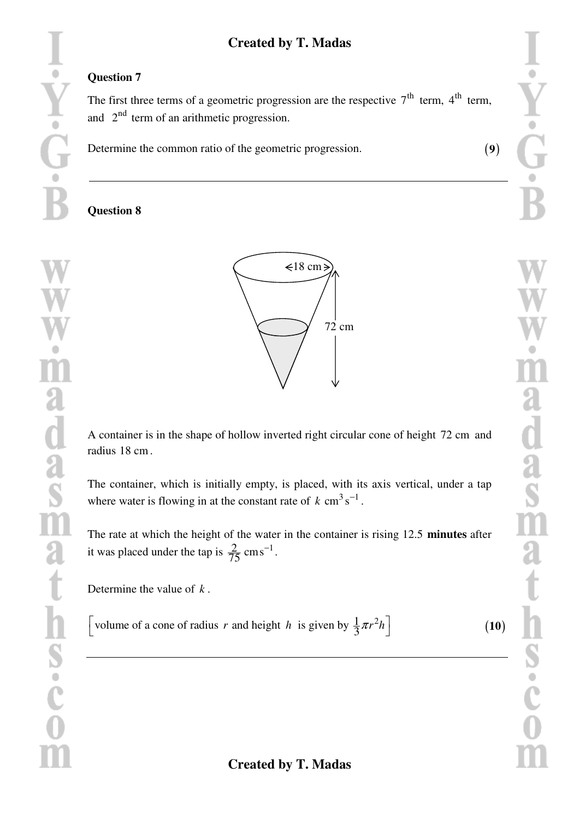## **Created by T. Madas**

#### **Question 7**

 $\circ$ 

Y<br>G·

wind<br>adads<br>as

t

 $\mathbf{h}$ 

S<br>Coco

The first three terms of a geometric progression are the respective  $7<sup>th</sup>$  term,  $4<sup>th</sup>$  term, and  $2<sup>nd</sup>$  term of an arithmetic progression.

Determine the common ratio of the geometric progression.

#### **Question 8**



A container is in the shape of hollow inverted right circular cone of height 72 cm and radius 18 cm.

The container, which is initially empty, is placed, with its axis vertical, under a tap where water is flowing in at the constant rate of  $k \text{ cm}^3 \text{ s}^{-1}$ .

The rate at which the height of the water in the container is rising 12.5 **minutes** after it was placed under the tap is  $\frac{2}{75}$  $\text{cm s}^{-1}$ .

Determine the value of *k* .

[volume of a cone of radius r and height h is given by  $\frac{1}{3}\pi r^2 h$ ]

(**10**)

(**9**)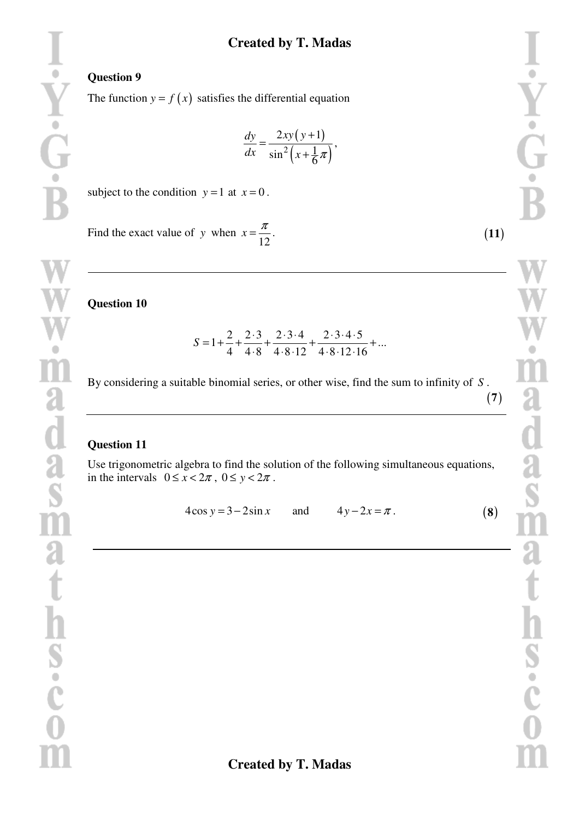#### **Created by T. Madas**

#### **Question 9**

The function  $y = f(x)$  satisfies the differential equation

$$
\frac{dy}{dx} = \frac{2xy(y+1)}{\sin^2(x+\frac{1}{6}\pi)},
$$

subject to the condition  $y = 1$  at  $x = 0$ .

Find the exact value of *y* when 12  $x = \frac{\pi}{12}$ .

**Question 10** 

$$
S = 1 + \frac{2}{4} + \frac{2 \cdot 3}{4 \cdot 8} + \frac{2 \cdot 3 \cdot 4}{4 \cdot 8 \cdot 12} + \frac{2 \cdot 3 \cdot 4 \cdot 5}{4 \cdot 8 \cdot 12 \cdot 16} + \dots
$$

By considering a suitable binomial series, or other wise, find the sum to infinity of *S* .

#### **Question 11**

Use trigonometric algebra to find the solution of the following simultaneous equations, in the intervals  $0 \le x < 2\pi$ ,  $0 \le y < 2\pi$ .

 $4\cos y = 3 - 2\sin x$  and  $4y - 2x = \pi$ .

(**11**)

(**7**)

(**8**)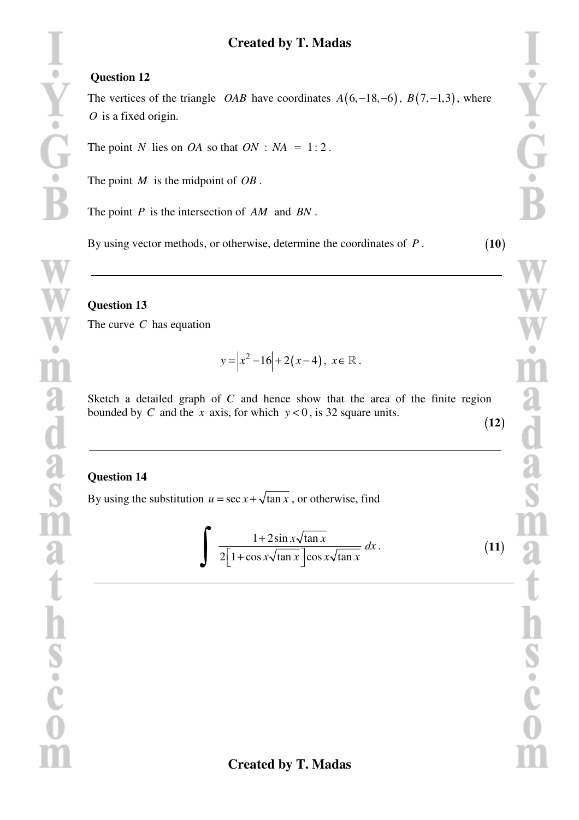### **Question 12**

The vertices of the triangle *OAB* have coordinates  $A(6, -18, -6)$ ,  $B(7, -1, 3)$ , where *O* is a fixed origin.

The point *N* lies on *OA* so that  $ON : NA = 1:2$ .

The point *M* is the midpoint of *OB* .

The point *P* is the intersection of *AM* and *BN* .

By using vector methods, or otherwise, determine the coordinates of *P* .

### **Question 13**

Y

m

a<br>da<br>m

a

t

h<br>s<br>c<br>c<br>m

The curve *C* has equation

$$
y = |x^2 - 16| + 2(x - 4), \ x \in \mathbb{R}.
$$

Sketch a detailed graph of *C* and hence show that the area of the finite region bounded by *C* and the *x* axis, for which  $y < 0$ , is 32 square units. (**12**)

#### **Question 14**

By using the substitution  $u = \sec x + \sqrt{\tan x}$ , or otherwise, find

$$
\int \frac{1+2\sin x\sqrt{\tan x}}{2\left[1+\cos x\sqrt{\tan x}\right]\cos x\sqrt{\tan x}}\,dx\,.
$$
 (11)

(**10**)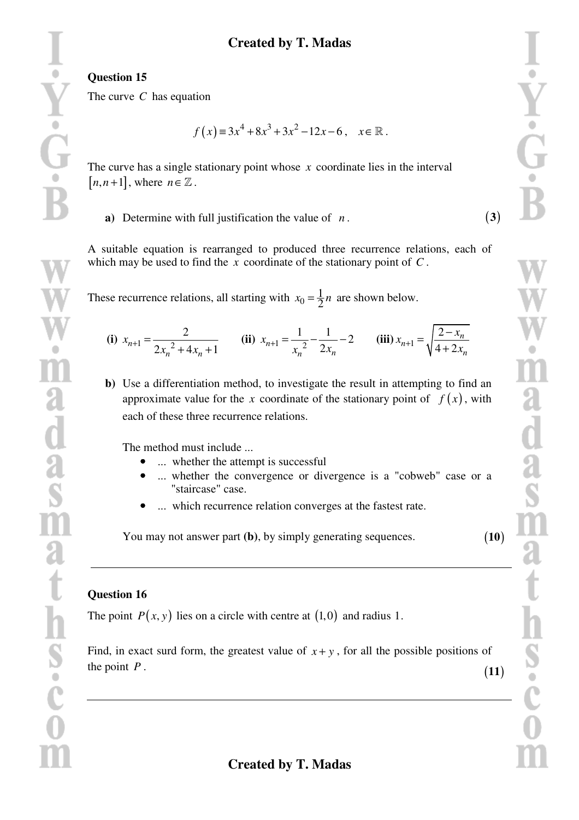(**3**)

(**10**)

#### **Question 15**

The curve *C* has equation

$$
f(x) = 3x^4 + 8x^3 + 3x^2 - 12x - 6, \quad x \in \mathbb{R}.
$$

The curve has a single stationary point whose *x* coordinate lies in the interval  $[n, n+1]$ , where  $n \in \mathbb{Z}$ .

**a)** Determine with full justification the value of *n* .

A suitable equation is rearranged to produced three recurrence relations, each of which may be used to find the *x* coordinate of the stationary point of *C* .

These recurrence relations, all starting with  $x_0 = \frac{1}{2}$  $x_0 = \frac{1}{2}n$  are shown below.

(i) 
$$
x_{n+1} = \frac{2}{2x_n^2 + 4x_n + 1}
$$
 (ii)  $x_{n+1} = \frac{1}{x_n^2} - \frac{1}{2x_n} - 2$  (iii)  $x_{n+1} = \sqrt{\frac{2 - x_n}{4 + 2x_n}}$ 

**b)** Use a differentiation method, to investigate the result in attempting to find an approximate value for the *x* coordinate of the stationary point of  $f(x)$ , with each of these three recurrence relations.

The method must include ...

- ... whether the attempt is successful
- ... whether the convergence or divergence is a "cobweb" case or a "staircase" case.
- ... which recurrence relation converges at the fastest rate.

You may not answer part **(b)**, by simply generating sequences.

#### **Question 16**

The point  $P(x, y)$  lies on a circle with centre at  $(1,0)$  and radius 1.

Find, in exact surd form, the greatest value of  $x + y$ , for all the possible positions of the point *P* . (**11**)